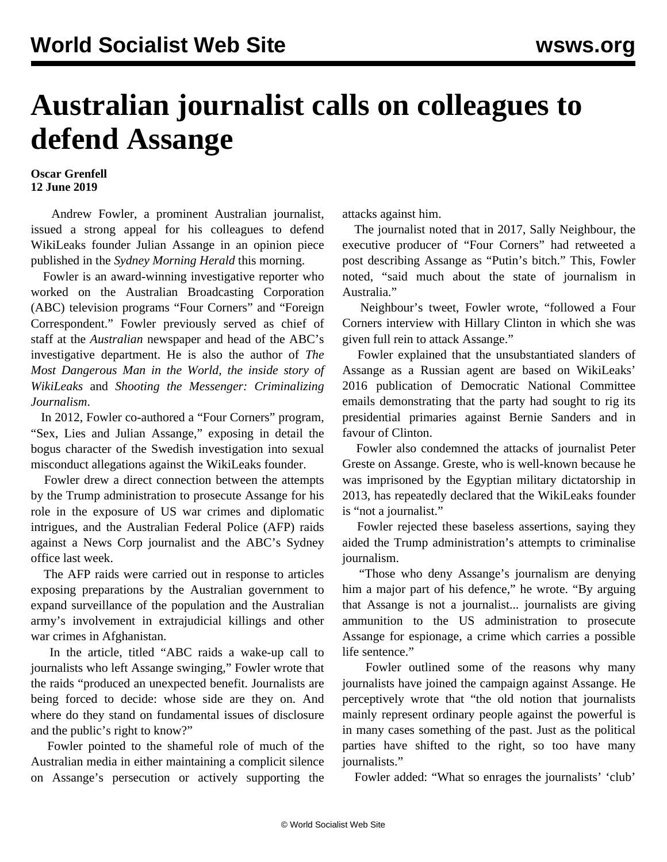## **Australian journalist calls on colleagues to defend Assange**

## **Oscar Grenfell 12 June 2019**

 Andrew Fowler, a prominent Australian journalist, issued a strong appeal for his colleagues to defend WikiLeaks founder Julian Assange in an opinion piece published in the *Sydney Morning Herald* this morning.

 Fowler is an award-winning investigative reporter who worked on the Australian Broadcasting Corporation (ABC) television programs "Four Corners" and "Foreign Correspondent." Fowler previously served as chief of staff at the *Australian* newspaper and head of the ABC's investigative department. He is also the author of *The Most Dangerous Man in the World, the inside story of WikiLeaks* and *Shooting the Messenger: Criminalizing Journalism*.

 In 2012, Fowler co-authored a "Four Corners" program, "Sex, Lies and Julian Assange," [exposing](/en/articles/2012/07/assa-j28.html) in detail the bogus character of the Swedish investigation into sexual misconduct allegations against the WikiLeaks founder.

 Fowler drew a direct connection between the attempts by the Trump administration to prosecute Assange for his role in the exposure of US war crimes and diplomatic intrigues, and the Australian Federal Police (AFP) raids against a News Corp journalist and the ABC's Sydney office last week.

 The AFP raids were carried out in response to articles exposing preparations by the Australian government to expand surveillance of the population and the Australian army's involvement in extrajudicial killings and other war crimes in Afghanistan.

 In the article, titled "ABC raids a wake-up call to journalists who left Assange swinging," Fowler wrote that the raids "produced an unexpected benefit. Journalists are being forced to decide: whose side are they on. And where do they stand on fundamental issues of disclosure and the public's right to know?"

 Fowler pointed to the shameful role of much of the Australian media in either maintaining a complicit silence on Assange's persecution or actively supporting the attacks against him.

 The journalist noted that in 2017, Sally Neighbour, the executive producer of "Four Corners" had retweeted a post describing Assange as "Putin's bitch." This, Fowler noted, "said much about the state of journalism in Australia."

 Neighbour's tweet, Fowler wrote, "followed a Four Corners interview with Hillary Clinton in which she was given full rein to attack Assange."

 Fowler explained that the unsubstantiated slanders of Assange as a Russian agent are based on WikiLeaks' 2016 publication of Democratic National Committee emails demonstrating that the party had sought to rig its presidential primaries against Bernie Sanders and in favour of Clinton.

 Fowler also condemned the attacks of journalist Peter Greste on Assange. Greste, who is well-known because he was imprisoned by the Egyptian military dictatorship in 2013, has repeatedly declared that the WikiLeaks founder is "not a journalist."

 Fowler rejected these baseless assertions, saying they aided the Trump administration's attempts to criminalise journalism.

 "Those who deny Assange's journalism are denying him a major part of his defence," he wrote. "By arguing that Assange is not a journalist... journalists are giving ammunition to the US administration to prosecute Assange for espionage, a crime which carries a possible life sentence."

 Fowler outlined some of the reasons why many journalists have joined the campaign against Assange. He perceptively wrote that "the old notion that journalists mainly represent ordinary people against the powerful is in many cases something of the past. Just as the political parties have shifted to the right, so too have many journalists."

Fowler added: "What so enrages the journalists' 'club'